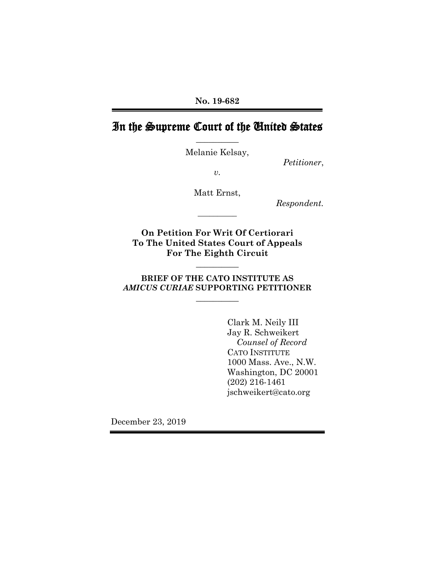# In the Supreme Court of the United States **\_\_\_\_\_\_\_\_\_\_**

Melanie Kelsay,

*Petitioner*,

*v.*

Matt Ernst,

**\_\_\_\_\_\_\_\_\_\_**

*Respondent.*

**On Petition For Writ Of Certiorari To The United States Court of Appeals For The Eighth Circuit**

**BRIEF OF THE CATO INSTITUTE AS**  *AMICUS CURIAE* **SUPPORTING PETITIONER**

**\_\_\_\_\_\_\_\_\_\_**

**\_\_\_\_\_\_\_\_\_\_**

Clark M. Neily III Jay R. Schweikert *Counsel of Record* CATO INSTITUTE 1000 Mass. Ave., N.W. Washington, DC 20001 (202) 216-1461 jschweikert@cato.org

December 23, 2019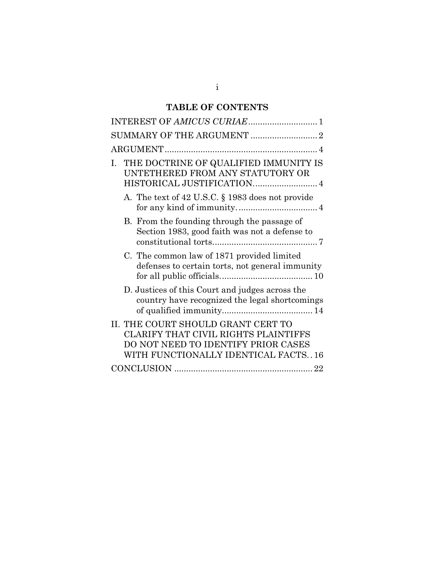# **TABLE OF CONTENTS**

| INTEREST OF AMICUS CURIAE 1                                                                                                                              |
|----------------------------------------------------------------------------------------------------------------------------------------------------------|
|                                                                                                                                                          |
|                                                                                                                                                          |
| THE DOCTRINE OF QUALIFIED IMMUNITY IS<br>Ι.<br>UNTETHERED FROM ANY STATUTORY OR<br>HISTORICAL JUSTIFICATION 4                                            |
| A. The text of 42 U.S.C. § 1983 does not provide                                                                                                         |
| B. From the founding through the passage of<br>Section 1983, good faith was not a defense to                                                             |
| C. The common law of 1871 provided limited<br>defenses to certain torts, not general immunity                                                            |
| D. Justices of this Court and judges across the<br>country have recognized the legal shortcomings                                                        |
| II. THE COURT SHOULD GRANT CERT TO<br>CLARIFY THAT CIVIL RIGHTS PLAINTIFFS<br>DO NOT NEED TO IDENTIFY PRIOR CASES<br>WITH FUNCTIONALLY IDENTICAL FACTS16 |
|                                                                                                                                                          |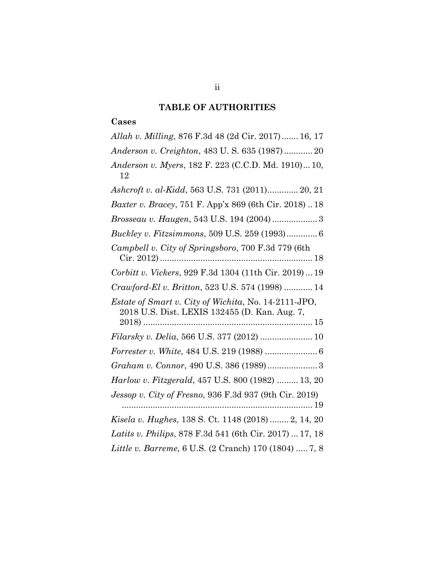#### **TABLE OF AUTHORITIES**

#### **Cases**

*Allah v. Milling*, 876 F.3d 48 (2d Cir. 2017)....... 16, 17 *Anderson v. Creighton*, 483 U. S. 635 (1987)............ 20 *Anderson v. Myers*, 182 F. 223 (C.C.D. Md. 1910)... 10, 12 *Ashcroft v. al-Kidd*, 563 U.S. 731 (2011)............. 20, 21 *Baxter v. Bracey*, 751 F. App'x 869 (6th Cir. 2018) .. 18 *Brosseau v. Haugen*, 543 U.S. 194 (2004)................... 3 *Buckley v. Fitzsimmons*, 509 U.S. 259 (1993)............. 6 *Campbell v. City of Springsboro*, 700 F.3d 779 (6th Cir. 2012)................................................................ 18 *Corbitt v. Vickers*, 929 F.3d 1304 (11th Cir. 2019) ... 19 *Crawford-El v. Britton*, 523 U.S. 574 (1998) ............ 14 *Estate of Smart v. City of Wichita*, No. 14-2111-JPO, 2018 U.S. Dist. LEXIS 132455 (D. Kan. Aug. 7, 2018) ....................................................................... 15 *Filarsky v. Delia*, 566 U.S. 377 (2012) ...................... 10 *Forrester v. White*, 484 U.S. 219 (1988) ...................... 6 *Graham v. Connor*, 490 U.S. 386 (1989)..................... 3 *Harlow v. Fitzgerald*, 457 U.S. 800 (1982) ......... 13, 20 *Jessop v. City of Fresno*, 936 F.3d 937 (9th Cir. 2019) ................................................................................ 19 *Kisela v. Hughes*, 138 S. Ct. 1148 (2018) ........ 2, 14, 20 *Latits v. Philips*, 878 F.3d 541 (6th Cir. 2017) ... 17, 18 *Little v. Barreme*, 6 U.S. (2 Cranch) 170 (1804) ..... 7, 8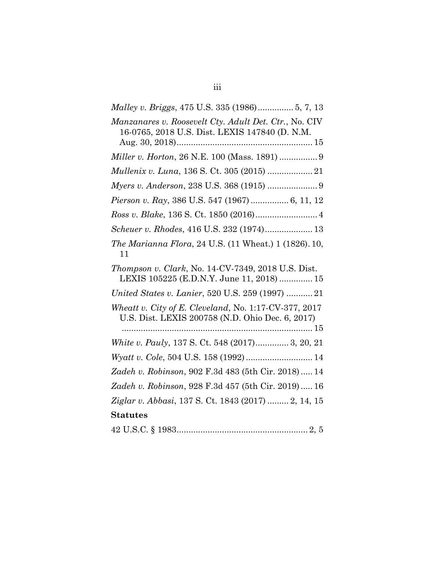| Malley v. Briggs, 475 U.S. 335 (1986) 5, 7, 13                                                            |
|-----------------------------------------------------------------------------------------------------------|
| Manzanares v. Roosevelt Cty. Adult Det. Ctr., No. CIV<br>16-0765, 2018 U.S. Dist. LEXIS 147840 (D. N.M.   |
| Miller v. Horton, 26 N.E. 100 (Mass. 1891)  9                                                             |
|                                                                                                           |
| Myers v. Anderson, 238 U.S. 368 (1915)  9                                                                 |
| Pierson v. Ray, 386 U.S. 547 (1967)  6, 11, 12                                                            |
|                                                                                                           |
| Scheuer v. Rhodes, 416 U.S. 232 (1974) 13                                                                 |
| <i>The Marianna Flora, 24 U.S. (11 Wheat.) 1 (1826). 10,</i><br>11                                        |
| Thompson v. Clark, No. 14-CV-7349, 2018 U.S. Dist.<br>LEXIS 105225 (E.D.N.Y. June 11, 2018)  15           |
| United States v. Lanier, 520 U.S. 259 (1997)  21                                                          |
| Wheatt v. City of E. Cleveland, No. 1:17-CV-377, 2017<br>U.S. Dist. LEXIS 200758 (N.D. Ohio Dec. 6, 2017) |
|                                                                                                           |
| White v. Pauly, 137 S. Ct. 548 (2017) 3, 20, 21                                                           |
|                                                                                                           |
| Zadeh v. Robinson, 902 F.3d 483 (5th Cir. 2018) 14                                                        |
| Zadeh v. Robinson, 928 F.3d 457 (5th Cir. 2019) 16                                                        |
| Ziglar v. Abbasi, 137 S. Ct. 1843 (2017)  2, 14, 15                                                       |
| <b>Statutes</b>                                                                                           |
|                                                                                                           |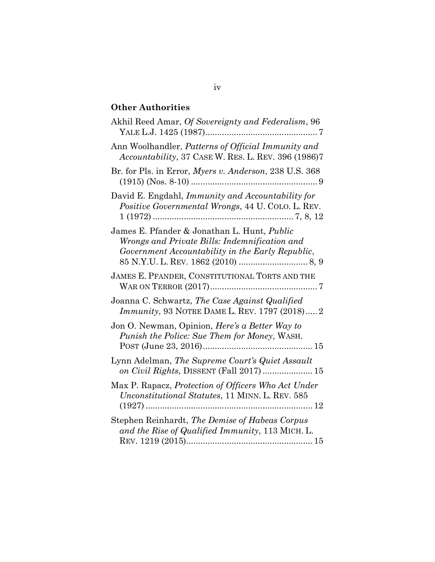# **Other Authorities**

| Akhil Reed Amar, Of Sovereignty and Federalism, 96                                                                                               |
|--------------------------------------------------------------------------------------------------------------------------------------------------|
| Ann Woolhandler, Patterns of Official Immunity and<br>Accountability, 37 CASE W. RES. L. REV. 396 (1986)7                                        |
| Br. for Pls. in Error, Myers v. Anderson, 238 U.S. 368                                                                                           |
| David E. Engdahl, Immunity and Accountability for<br>Positive Governmental Wrongs, 44 U. COLO. L. REV.                                           |
| James E. Pfander & Jonathan L. Hunt, Public<br>Wrongs and Private Bills: Indemnification and<br>Government Accountability in the Early Republic, |
| JAMES E. PFANDER, CONSTITUTIONAL TORTS AND THE                                                                                                   |
| Joanna C. Schwartz, The Case Against Qualified<br><i>Immunity</i> , 93 NOTRE DAME L. REV. 1797 (2018) 2                                          |
| Jon O. Newman, Opinion, Here's a Better Way to<br>Punish the Police: Sue Them for Money, WASH.                                                   |
| Lynn Adelman, The Supreme Court's Quiet Assault<br>on Civil Rights, DISSENT (Fall 2017)  15                                                      |
| Max P. Rapacz, Protection of Officers Who Act Under<br>Unconstitutional Statutes, 11 MINN. L. REV. 585                                           |
| Stephen Reinhardt, The Demise of Habeas Corpus<br>and the Rise of Qualified Immunity, 113 MICH. L.                                               |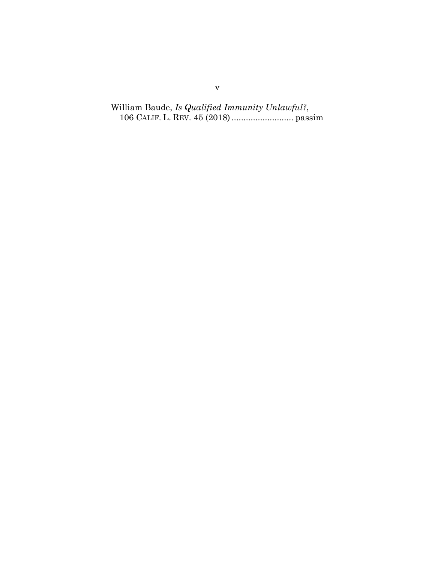William Baude, *Is Qualified Immunity Unlawful?*, 106 CALIF. L. REV. 45 (2018).......................... passim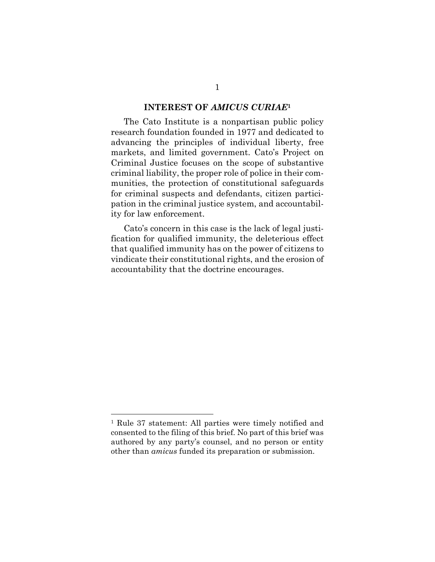#### **INTEREST OF** *AMICUS CURIAE***<sup>1</sup>**

<span id="page-6-0"></span>The Cato Institute is a nonpartisan public policy research foundation founded in 1977 and dedicated to advancing the principles of individual liberty, free markets, and limited government. Cato's Project on Criminal Justice focuses on the scope of substantive criminal liability, the proper role of police in their communities, the protection of constitutional safeguards for criminal suspects and defendants, citizen participation in the criminal justice system, and accountability for law enforcement.

Cato's concern in this case is the lack of legal justification for qualified immunity, the deleterious effect that qualified immunity has on the power of citizens to vindicate their constitutional rights, and the erosion of accountability that the doctrine encourages.

<sup>1</sup> Rule 37 statement: All parties were timely notified and consented to the filing of this brief. No part of this brief was authored by any party's counsel, and no person or entity other than *amicus* funded its preparation or submission.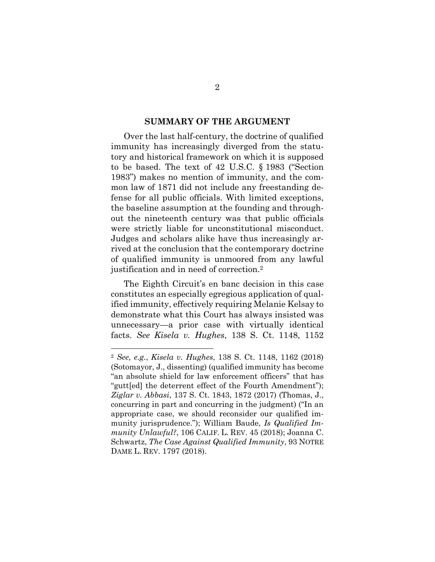#### **SUMMARY OF THE ARGUMENT**

<span id="page-7-0"></span>Over the last half-century, the doctrine of qualified immunity has increasingly diverged from the statutory and historical framework on which it is supposed to be based. The text of 42 U.S.C. § 1983 ("Section 1983") makes no mention of immunity, and the common law of 1871 did not include any freestanding defense for all public officials. With limited exceptions, the baseline assumption at the founding and throughout the nineteenth century was that public officials were strictly liable for unconstitutional misconduct. Judges and scholars alike have thus increasingly arrived at the conclusion that the contemporary doctrine of qualified immunity is unmoored from any lawful justification and in need of correction.<sup>2</sup>

The Eighth Circuit's en banc decision in this case constitutes an especially egregious application of qualified immunity, effectively requiring Melanie Kelsay to demonstrate what this Court has always insisted was unnecessary—a prior case with virtually identical facts. *See Kisela v. Hughes*, 138 S. Ct. 1148, 1152

<sup>2</sup> *See, e.g.*, *Kisela v. Hughes*, 138 S. Ct. 1148, 1162 (2018) (Sotomayor, J., dissenting) (qualified immunity has become "an absolute shield for law enforcement officers" that has "gutt[ed] the deterrent effect of the Fourth Amendment"); *Ziglar v. Abbasi*, 137 S. Ct. 1843, 1872 (2017) (Thomas, J., concurring in part and concurring in the judgment) ("In an appropriate case, we should reconsider our qualified immunity jurisprudence."); William Baude, *Is Qualified Immunity Unlawful?*, 106 CALIF. L. REV. 45 (2018); Joanna C. Schwartz, *The Case Against Qualified Immunity*, 93 NOTRE DAME L. REV. 1797 (2018).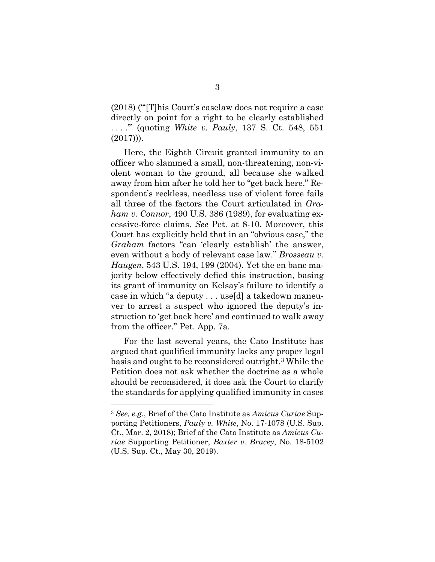(2018) ("'[T]his Court's caselaw does not require a case directly on point for a right to be clearly established . . . .'" (quoting *White v. Pauly*, 137 S. Ct. 548, 551  $(2017))$ .

Here, the Eighth Circuit granted immunity to an officer who slammed a small, non-threatening, non-violent woman to the ground, all because she walked away from him after he told her to "get back here." Respondent's reckless, needless use of violent force fails all three of the factors the Court articulated in *Graham v. Connor*, 490 U.S. 386 (1989), for evaluating excessive-force claims. *See* Pet. at 8-10. Moreover, this Court has explicitly held that in an "obvious case," the *Graham* factors "can 'clearly establish' the answer, even without a body of relevant case law." *Brosseau v. Haugen*, 543 U.S. 194, 199 (2004). Yet the en banc majority below effectively defied this instruction, basing its grant of immunity on Kelsay's failure to identify a case in which "a deputy . . . use[d] a takedown maneuver to arrest a suspect who ignored the deputy's instruction to 'get back here' and continued to walk away from the officer." Pet. App. 7a.

For the last several years, the Cato Institute has argued that qualified immunity lacks any proper legal basis and ought to be reconsidered outright.<sup>3</sup> While the Petition does not ask whether the doctrine as a whole should be reconsidered, it does ask the Court to clarify the standards for applying qualified immunity in cases

<sup>3</sup> *See, e.g.*, Brief of the Cato Institute as *Amicus Curiae* Supporting Petitioners, *Pauly v. White*, No. 17-1078 (U.S. Sup. Ct., Mar. 2, 2018); Brief of the Cato Institute as *Amicus Curiae* Supporting Petitioner, *Baxter v. Bracey*, No. 18-5102 (U.S. Sup. Ct., May 30, 2019).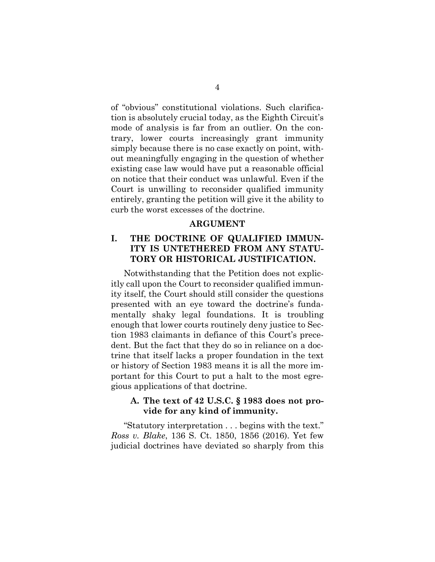of "obvious" constitutional violations. Such clarification is absolutely crucial today, as the Eighth Circuit's mode of analysis is far from an outlier. On the contrary, lower courts increasingly grant immunity simply because there is no case exactly on point, without meaningfully engaging in the question of whether existing case law would have put a reasonable official on notice that their conduct was unlawful. Even if the Court is unwilling to reconsider qualified immunity entirely, granting the petition will give it the ability to curb the worst excesses of the doctrine.

#### **ARGUMENT**

### <span id="page-9-1"></span><span id="page-9-0"></span>**I. THE DOCTRINE OF QUALIFIED IMMUN-ITY IS UNTETHERED FROM ANY STATU-TORY OR HISTORICAL JUSTIFICATION.**

Notwithstanding that the Petition does not explicitly call upon the Court to reconsider qualified immunity itself, the Court should still consider the questions presented with an eye toward the doctrine's fundamentally shaky legal foundations. It is troubling enough that lower courts routinely deny justice to Section 1983 claimants in defiance of this Court's precedent. But the fact that they do so in reliance on a doctrine that itself lacks a proper foundation in the text or history of Section 1983 means it is all the more important for this Court to put a halt to the most egregious applications of that doctrine.

### <span id="page-9-2"></span>**A. The text of 42 U.S.C. § 1983 does not provide for any kind of immunity.**

"Statutory interpretation . . . begins with the text." *Ross v. Blake*, 136 S. Ct. 1850, 1856 (2016). Yet few judicial doctrines have deviated so sharply from this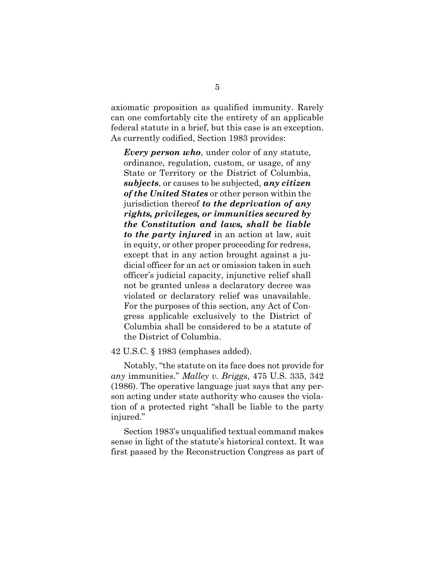axiomatic proposition as qualified immunity. Rarely can one comfortably cite the entirety of an applicable federal statute in a brief, but this case is an exception. As currently codified, Section 1983 provides:

*Every person who*, under color of any statute, ordinance, regulation, custom, or usage, of any State or Territory or the District of Columbia, *subjects*, or causes to be subjected, *any citizen of the United States* or other person within the jurisdiction thereof *to the deprivation of any rights, privileges, or immunities secured by the Constitution and laws, shall be liable to the party injured* in an action at law, suit in equity, or other proper proceeding for redress, except that in any action brought against a judicial officer for an act or omission taken in such officer's judicial capacity, injunctive relief shall not be granted unless a declaratory decree was violated or declaratory relief was unavailable. For the purposes of this section, any Act of Congress applicable exclusively to the District of Columbia shall be considered to be a statute of the District of Columbia.

42 U.S.C. § 1983 (emphases added).

Notably, "the statute on its face does not provide for *any* immunities." *Malley v. Briggs*, 475 U.S. 335, 342 (1986). The operative language just says that any person acting under state authority who causes the violation of a protected right "shall be liable to the party injured."

Section 1983's unqualified textual command makes sense in light of the statute's historical context. It was first passed by the Reconstruction Congress as part of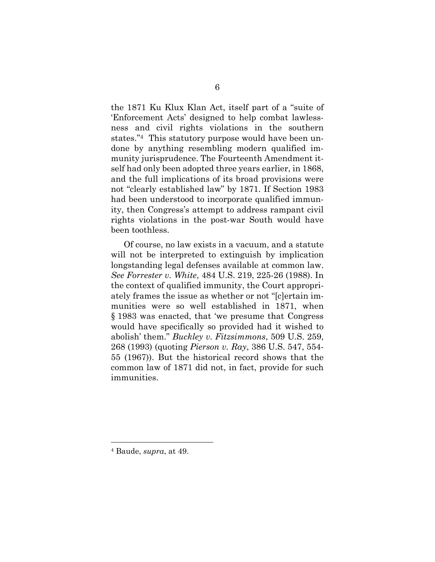the 1871 Ku Klux Klan Act, itself part of a "suite of 'Enforcement Acts' designed to help combat lawlessness and civil rights violations in the southern states."4 This statutory purpose would have been undone by anything resembling modern qualified immunity jurisprudence. The Fourteenth Amendment itself had only been adopted three years earlier, in 1868, and the full implications of its broad provisions were not "clearly established law" by 1871. If Section 1983 had been understood to incorporate qualified immunity, then Congress's attempt to address rampant civil rights violations in the post-war South would have been toothless.

Of course, no law exists in a vacuum, and a statute will not be interpreted to extinguish by implication longstanding legal defenses available at common law. *See Forrester v. White*, 484 U.S. 219, 225-26 (1988). In the context of qualified immunity, the Court appropriately frames the issue as whether or not "[c]ertain immunities were so well established in 1871, when § 1983 was enacted, that 'we presume that Congress would have specifically so provided had it wished to abolish' them." *Buckley v. Fitzsimmons*, 509 U.S. 259, 268 (1993) (quoting *Pierson v. Ray*, 386 U.S. 547, 554- 55 (1967)). But the historical record shows that the common law of 1871 did not, in fact, provide for such immunities.

<sup>4</sup> Baude, *supra*, at 49.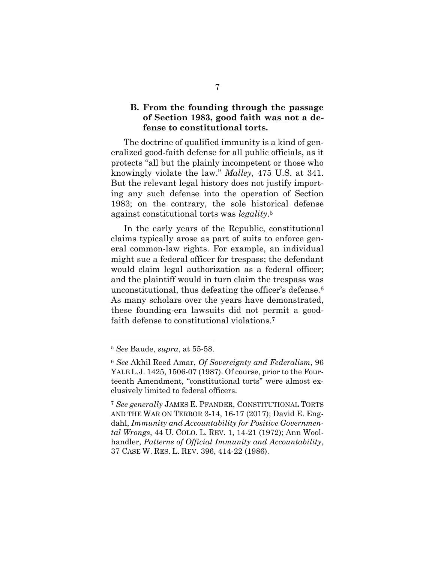#### <span id="page-12-0"></span>**B. From the founding through the passage of Section 1983, good faith was not a defense to constitutional torts.**

The doctrine of qualified immunity is a kind of generalized good-faith defense for all public officials, as it protects "all but the plainly incompetent or those who knowingly violate the law." *Malley*, 475 U.S. at 341. But the relevant legal history does not justify importing any such defense into the operation of Section 1983; on the contrary, the sole historical defense against constitutional torts was *legality*. 5

In the early years of the Republic, constitutional claims typically arose as part of suits to enforce general common-law rights. For example, an individual might sue a federal officer for trespass; the defendant would claim legal authorization as a federal officer; and the plaintiff would in turn claim the trespass was unconstitutional, thus defeating the officer's defense.<sup>6</sup> As many scholars over the years have demonstrated, these founding-era lawsuits did not permit a goodfaith defense to constitutional violations. 7

<sup>5</sup> *See* Baude, *supra*, at 55-58.

<sup>6</sup> *See* Akhil Reed Amar, *Of Sovereignty and Federalism*, 96 YALE L.J. 1425, 1506-07 (1987). Of course, prior to the Fourteenth Amendment, "constitutional torts" were almost exclusively limited to federal officers.

<sup>7</sup> *See generally* JAMES E. PFANDER, CONSTITUTIONAL TORTS AND THE WAR ON TERROR 3-14, 16-17 (2017); David E. Engdahl, *Immunity and Accountability for Positive Governmental Wrongs*, 44 U. COLO. L. REV. 1, 14-21 (1972); Ann Woolhandler, *Patterns of Official Immunity and Accountability*, 37 CASE W. RES. L. REV. 396, 414-22 (1986).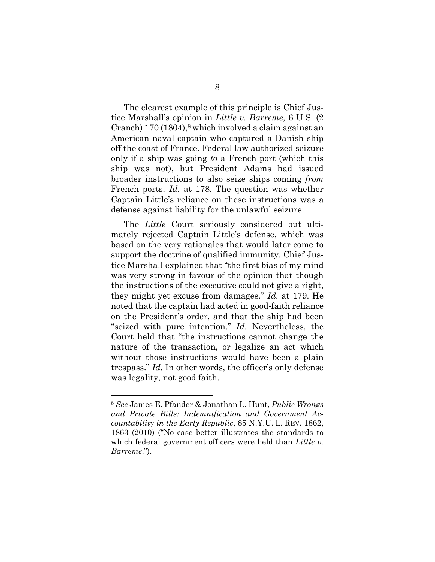The clearest example of this principle is Chief Justice Marshall's opinion in *Little v. Barreme*, 6 U.S. (2 Cranch) 170 (1804), <sup>8</sup> which involved a claim against an American naval captain who captured a Danish ship off the coast of France. Federal law authorized seizure only if a ship was going *to* a French port (which this ship was not), but President Adams had issued broader instructions to also seize ships coming *from* French ports. *Id.* at 178. The question was whether Captain Little's reliance on these instructions was a defense against liability for the unlawful seizure.

The *Little* Court seriously considered but ultimately rejected Captain Little's defense, which was based on the very rationales that would later come to support the doctrine of qualified immunity. Chief Justice Marshall explained that "the first bias of my mind was very strong in favour of the opinion that though the instructions of the executive could not give a right, they might yet excuse from damages." *Id.* at 179. He noted that the captain had acted in good-faith reliance on the President's order, and that the ship had been "seized with pure intention." *Id.* Nevertheless, the Court held that "the instructions cannot change the nature of the transaction, or legalize an act which without those instructions would have been a plain trespass." *Id.* In other words, the officer's only defense was legality, not good faith.

<sup>8</sup> *See* James E. Pfander & Jonathan L. Hunt, *Public Wrongs and Private Bills: Indemnification and Government Accountability in the Early Republic*, 85 N.Y.U. L. REV. 1862, 1863 (2010) ("No case better illustrates the standards to which federal government officers were held than *Little v. Barreme*.").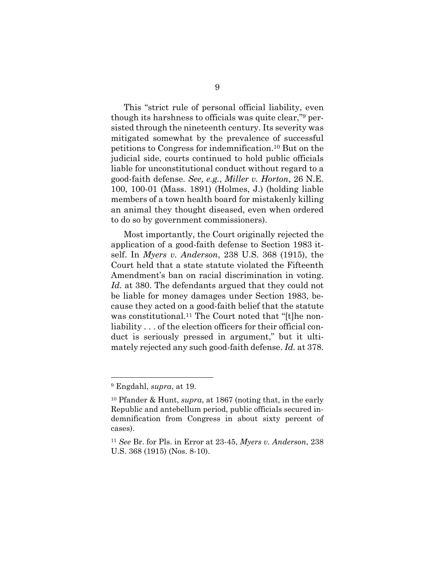This "strict rule of personal official liability, even though its harshness to officials was quite clear," <sup>9</sup> persisted through the nineteenth century. Its severity was mitigated somewhat by the prevalence of successful petitions to Congress for indemnification.<sup>10</sup> But on the judicial side, courts continued to hold public officials liable for unconstitutional conduct without regard to a good-faith defense. *See, e.g.*, *Miller v. Horton*, 26 N.E. 100, 100-01 (Mass. 1891) (Holmes, J.) (holding liable members of a town health board for mistakenly killing an animal they thought diseased, even when ordered to do so by government commissioners).

Most importantly, the Court originally rejected the application of a good-faith defense to Section 1983 itself. In *Myers v. Anderson*, 238 U.S. 368 (1915), the Court held that a state statute violated the Fifteenth Amendment's ban on racial discrimination in voting. *Id.* at 380. The defendants argued that they could not be liable for money damages under Section 1983, because they acted on a good-faith belief that the statute was constitutional.<sup>11</sup> The Court noted that "[t]he nonliability . . . of the election officers for their official conduct is seriously pressed in argument," but it ultimately rejected any such good-faith defense. *Id.* at 378.

<sup>9</sup> Engdahl, *supra*, at 19.

<sup>10</sup> Pfander & Hunt, *supra*, at 1867 (noting that, in the early Republic and antebellum period, public officials secured indemnification from Congress in about sixty percent of cases).

<sup>11</sup> *See* Br. for Pls. in Error at 23-45, *Myers v. Anderson*, 238 U.S. 368 (1915) (Nos. 8-10).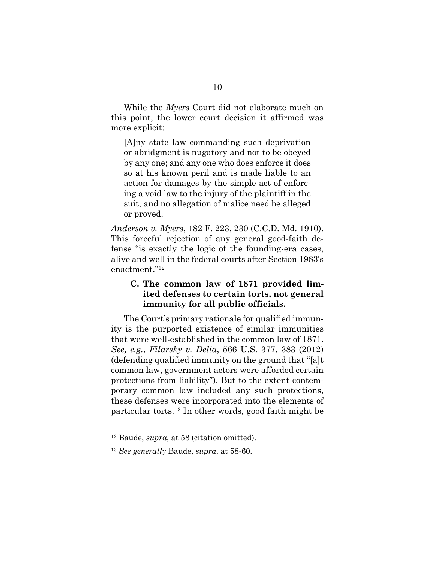While the *Myers* Court did not elaborate much on this point, the lower court decision it affirmed was more explicit:

[A]ny state law commanding such deprivation or abridgment is nugatory and not to be obeyed by any one; and any one who does enforce it does so at his known peril and is made liable to an action for damages by the simple act of enforcing a void law to the injury of the plaintiff in the suit, and no allegation of malice need be alleged or proved.

*Anderson v. Myers*, 182 F. 223, 230 (C.C.D. Md. 1910). This forceful rejection of any general good-faith defense "is exactly the logic of the founding-era cases, alive and well in the federal courts after Section 1983's enactment."<sup>12</sup>

### <span id="page-15-0"></span>**C. The common law of 1871 provided limited defenses to certain torts, not general immunity for all public officials.**

The Court's primary rationale for qualified immunity is the purported existence of similar immunities that were well-established in the common law of 1871. *See, e.g.*, *Filarsky v. Delia*, 566 U.S. 377, 383 (2012) (defending qualified immunity on the ground that "[a]t common law, government actors were afforded certain protections from liability"). But to the extent contemporary common law included any such protections, these defenses were incorporated into the elements of particular torts.<sup>13</sup> In other words, good faith might be

<sup>12</sup> Baude, *supra*, at 58 (citation omitted).

<sup>13</sup> *See generally* Baude, *supra*, at 58-60.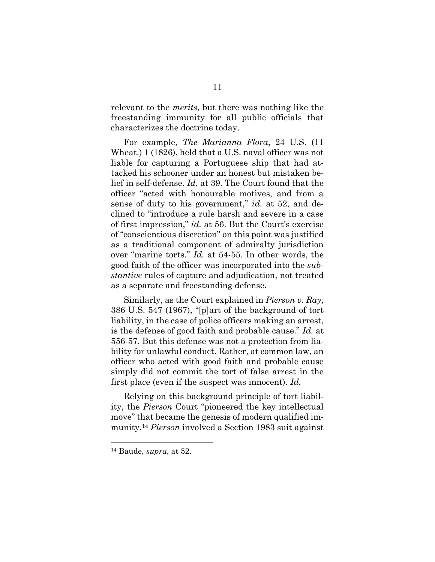relevant to the *merits*, but there was nothing like the freestanding immunity for all public officials that characterizes the doctrine today.

For example, *The Marianna Flora*, 24 U.S. (11 Wheat.) 1 (1826), held that a U.S. naval officer was not liable for capturing a Portuguese ship that had attacked his schooner under an honest but mistaken belief in self-defense. *Id.* at 39. The Court found that the officer "acted with honourable motives, and from a sense of duty to his government," *id.* at 52, and declined to "introduce a rule harsh and severe in a case of first impression," *id.* at 56. But the Court's exercise of "conscientious discretion" on this point was justified as a traditional component of admiralty jurisdiction over "marine torts." *Id.* at 54-55. In other words, the good faith of the officer was incorporated into the *substantive* rules of capture and adjudication, not treated as a separate and freestanding defense.

Similarly, as the Court explained in *Pierson v. Ray*, 386 U.S. 547 (1967), "[p]art of the background of tort liability, in the case of police officers making an arrest, is the defense of good faith and probable cause." *Id.* at 556-57. But this defense was not a protection from liability for unlawful conduct. Rather, at common law, an officer who acted with good faith and probable cause simply did not commit the tort of false arrest in the first place (even if the suspect was innocent). *Id.*

Relying on this background principle of tort liability, the *Pierson* Court "pioneered the key intellectual move" that became the genesis of modern qualified immunity.<sup>14</sup> *Pierson* involved a Section 1983 suit against

<sup>14</sup> Baude, *supra*, at 52.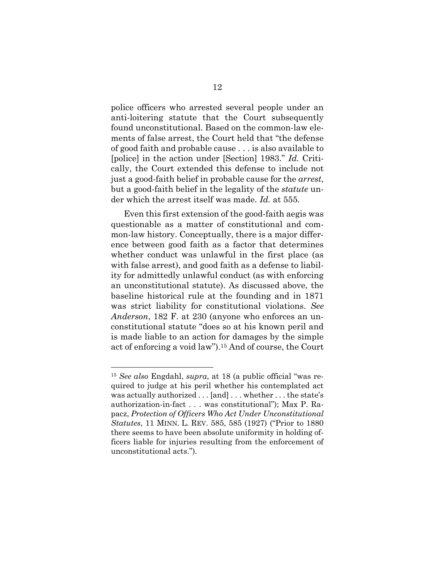police officers who arrested several people under an anti-loitering statute that the Court subsequently found unconstitutional. Based on the common-law elements of false arrest, the Court held that "the defense of good faith and probable cause . . . is also available to [police] in the action under [Section] 1983." *Id.* Critically, the Court extended this defense to include not just a good-faith belief in probable cause for the *arrest*, but a good-faith belief in the legality of the *statute* under which the arrest itself was made. *Id.* at 555.

Even this first extension of the good-faith aegis was questionable as a matter of constitutional and common-law history. Conceptually, there is a major difference between good faith as a factor that determines whether conduct was unlawful in the first place (as with false arrest), and good faith as a defense to liability for admittedly unlawful conduct (as with enforcing an unconstitutional statute). As discussed above, the baseline historical rule at the founding and in 1871 was strict liability for constitutional violations. *See Anderson*, 182 F. at 230 (anyone who enforces an unconstitutional statute "does so at his known peril and is made liable to an action for damages by the simple act of enforcing a void law").<sup>15</sup> And of course, the Court

<sup>15</sup> *See also* Engdahl, *supra*, at 18 (a public official "was required to judge at his peril whether his contemplated act was actually authorized . . . [and] . . . whether . . . the state's authorization-in-fact . . . was constitutional"); Max P. Rapacz, *Protection of Officers Who Act Under Unconstitutional Statutes*, 11 MINN. L. REV. 585, 585 (1927) ("Prior to 1880 there seems to have been absolute uniformity in holding officers liable for injuries resulting from the enforcement of unconstitutional acts.").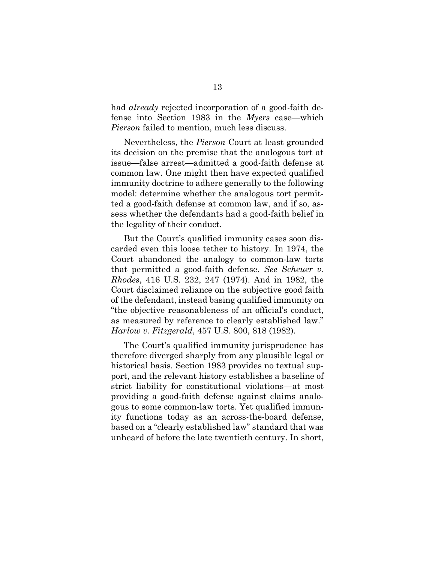had *already* rejected incorporation of a good-faith defense into Section 1983 in the *Myers* case—which *Pierson* failed to mention, much less discuss.

Nevertheless, the *Pierson* Court at least grounded its decision on the premise that the analogous tort at issue—false arrest—admitted a good-faith defense at common law. One might then have expected qualified immunity doctrine to adhere generally to the following model: determine whether the analogous tort permitted a good-faith defense at common law, and if so, assess whether the defendants had a good-faith belief in the legality of their conduct.

But the Court's qualified immunity cases soon discarded even this loose tether to history. In 1974, the Court abandoned the analogy to common-law torts that permitted a good-faith defense. *See Scheuer v. Rhodes*, 416 U.S. 232, 247 (1974). And in 1982, the Court disclaimed reliance on the subjective good faith of the defendant, instead basing qualified immunity on "the objective reasonableness of an official's conduct, as measured by reference to clearly established law." *Harlow v. Fitzgerald*, 457 U.S. 800, 818 (1982).

The Court's qualified immunity jurisprudence has therefore diverged sharply from any plausible legal or historical basis. Section 1983 provides no textual support, and the relevant history establishes a baseline of strict liability for constitutional violations—at most providing a good-faith defense against claims analogous to some common-law torts. Yet qualified immunity functions today as an across-the-board defense, based on a "clearly established law" standard that was unheard of before the late twentieth century. In short,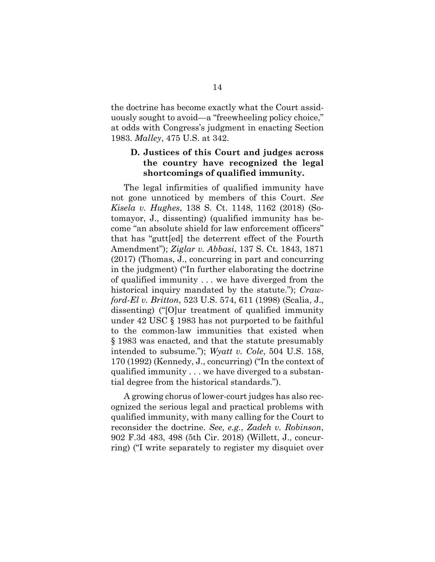the doctrine has become exactly what the Court assiduously sought to avoid—a "freewheeling policy choice," at odds with Congress's judgment in enacting Section 1983. *Malley*, 475 U.S. at 342.

#### <span id="page-19-0"></span>**D. Justices of this Court and judges across the country have recognized the legal shortcomings of qualified immunity.**

The legal infirmities of qualified immunity have not gone unnoticed by members of this Court. *See Kisela v. Hughes*, 138 S. Ct. 1148, 1162 (2018) (Sotomayor, J., dissenting) (qualified immunity has become "an absolute shield for law enforcement officers" that has "gutt[ed] the deterrent effect of the Fourth Amendment"); *Ziglar v. Abbasi*, 137 S. Ct. 1843, 1871 (2017) (Thomas, J., concurring in part and concurring in the judgment) ("In further elaborating the doctrine of qualified immunity . . . we have diverged from the historical inquiry mandated by the statute."); *Crawford-El v. Britton*, 523 U.S. 574, 611 (1998) (Scalia, J., dissenting) ("[O]ur treatment of qualified immunity under 42 USC § 1983 has not purported to be faithful to the common-law immunities that existed when § 1983 was enacted, and that the statute presumably intended to subsume."); *Wyatt v. Cole*, 504 U.S. 158, 170 (1992) (Kennedy, J., concurring) ("In the context of qualified immunity . . . we have diverged to a substantial degree from the historical standards.").

A growing chorus of lower-court judges has also recognized the serious legal and practical problems with qualified immunity, with many calling for the Court to reconsider the doctrine. *See, e.g.*, *Zadeh v. Robinson*, 902 F.3d 483, 498 (5th Cir. 2018) (Willett, J., concurring) ("I write separately to register my disquiet over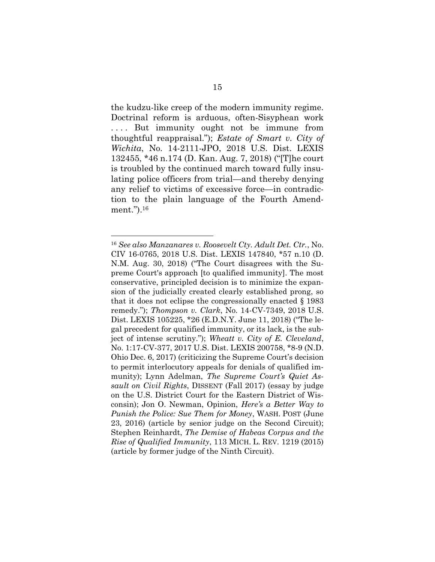the kudzu-like creep of the modern immunity regime. Doctrinal reform is arduous, often-Sisyphean work .... But immunity ought not be immune from thoughtful reappraisal."); *Estate of Smart v. City of Wichita*, No. 14-2111-JPO, 2018 U.S. Dist. LEXIS 132455, \*46 n.174 (D. Kan. Aug. 7, 2018) ("[T]he court is troubled by the continued march toward fully insulating police officers from trial—and thereby denying any relief to victims of excessive force—in contradiction to the plain language of the Fourth Amendment.").<sup>16</sup>

<sup>16</sup> *See also Manzanares v. Roosevelt Cty. Adult Det. Ctr.*, No. CIV 16-0765, 2018 U.S. Dist. LEXIS 147840, \*57 n.10 (D. N.M. Aug. 30, 2018) ("The Court disagrees with the Supreme Court's approach [to qualified immunity]. The most conservative, principled decision is to minimize the expansion of the judicially created clearly established prong, so that it does not eclipse the congressionally enacted § 1983 remedy."); *Thompson v. Clark*, No. 14-CV-7349, 2018 U.S. Dist. LEXIS 105225, \*26 (E.D.N.Y. June 11, 2018) ("The legal precedent for qualified immunity, or its lack, is the subject of intense scrutiny."); *Wheatt v. City of E. Cleveland*, No. 1:17-CV-377, 2017 U.S. Dist. LEXIS 200758, \*8-9 (N.D. Ohio Dec. 6, 2017) (criticizing the Supreme Court's decision to permit interlocutory appeals for denials of qualified immunity); Lynn Adelman, *The Supreme Court's Quiet Assault on Civil Rights*, DISSENT (Fall 2017) (essay by judge on the U.S. District Court for the Eastern District of Wisconsin); Jon O. Newman, Opinion, *Here's a Better Way to Punish the Police: Sue Them for Money*, WASH. POST (June 23, 2016) (article by senior judge on the Second Circuit); Stephen Reinhardt, *The Demise of Habeas Corpus and the Rise of Qualified Immunity*, 113 MICH. L. REV. 1219 (2015) (article by former judge of the Ninth Circuit).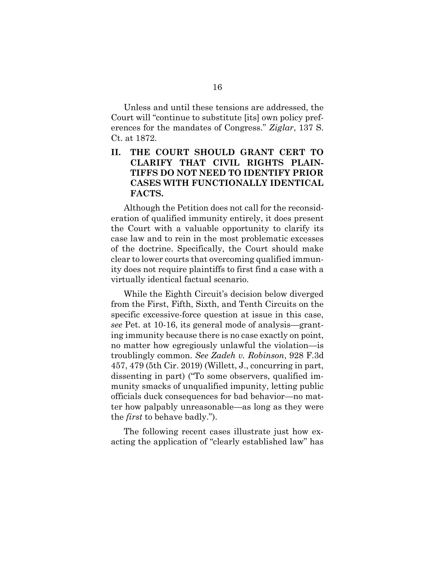Unless and until these tensions are addressed, the Court will "continue to substitute [its] own policy preferences for the mandates of Congress." *Ziglar*, 137 S. Ct. at 1872.

## <span id="page-21-0"></span>**II. THE COURT SHOULD GRANT CERT TO CLARIFY THAT CIVIL RIGHTS PLAIN-TIFFS DO NOT NEED TO IDENTIFY PRIOR CASES WITH FUNCTIONALLY IDENTICAL FACTS.**

Although the Petition does not call for the reconsideration of qualified immunity entirely, it does present the Court with a valuable opportunity to clarify its case law and to rein in the most problematic excesses of the doctrine. Specifically, the Court should make clear to lower courts that overcoming qualified immunity does not require plaintiffs to first find a case with a virtually identical factual scenario.

While the Eighth Circuit's decision below diverged from the First, Fifth, Sixth, and Tenth Circuits on the specific excessive-force question at issue in this case, *see* Pet. at 10-16, its general mode of analysis—granting immunity because there is no case exactly on point, no matter how egregiously unlawful the violation—is troublingly common. *See Zadeh v. Robinson*, 928 F.3d 457, 479 (5th Cir. 2019) (Willett, J., concurring in part, dissenting in part) ("To some observers, qualified immunity smacks of unqualified impunity, letting public officials duck consequences for bad behavior—no matter how palpably unreasonable—as long as they were the *first* to behave badly.").

The following recent cases illustrate just how exacting the application of "clearly established law" has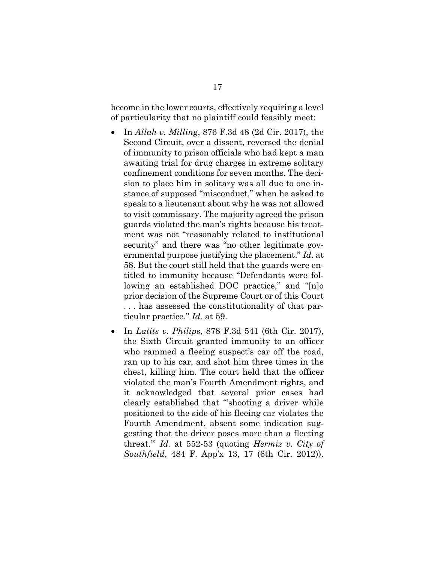become in the lower courts, effectively requiring a level of particularity that no plaintiff could feasibly meet:

- In *Allah v. Milling*, 876 F.3d 48 (2d Cir. 2017), the Second Circuit, over a dissent, reversed the denial of immunity to prison officials who had kept a man awaiting trial for drug charges in extreme solitary confinement conditions for seven months. The decision to place him in solitary was all due to one instance of supposed "misconduct," when he asked to speak to a lieutenant about why he was not allowed to visit commissary. The majority agreed the prison guards violated the man's rights because his treatment was not "reasonably related to institutional security" and there was "no other legitimate governmental purpose justifying the placement." *Id.* at 58. But the court still held that the guards were entitled to immunity because "Defendants were following an established DOC practice," and "[n]o prior decision of the Supreme Court or of this Court . . . has assessed the constitutionality of that particular practice." *Id.* at 59.
- In *Latits v. Philips*, 878 F.3d 541 (6th Cir. 2017), the Sixth Circuit granted immunity to an officer who rammed a fleeing suspect's car off the road, ran up to his car, and shot him three times in the chest, killing him. The court held that the officer violated the man's Fourth Amendment rights, and it acknowledged that several prior cases had clearly established that "'shooting a driver while positioned to the side of his fleeing car violates the Fourth Amendment, absent some indication suggesting that the driver poses more than a fleeting threat.'" *Id.* at 552-53 (quoting *Hermiz v. City of Southfield*, 484 F. App'x 13, 17 (6th Cir. 2012)).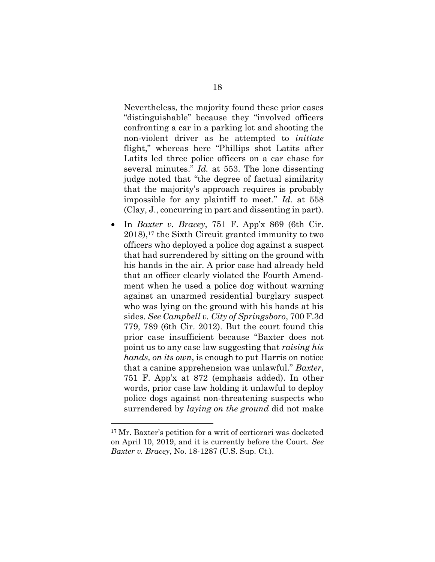Nevertheless, the majority found these prior cases "distinguishable" because they "involved officers confronting a car in a parking lot and shooting the non-violent driver as he attempted to *initiate* flight," whereas here "Phillips shot Latits after Latits led three police officers on a car chase for several minutes." *Id.* at 553. The lone dissenting judge noted that "the degree of factual similarity that the majority's approach requires is probably impossible for any plaintiff to meet." *Id.* at 558 (Clay, J., concurring in part and dissenting in part).

• In *Baxter v. Bracey*, 751 F. App'x 869 (6th Cir. 2018), <sup>17</sup> the Sixth Circuit granted immunity to two officers who deployed a police dog against a suspect that had surrendered by sitting on the ground with his hands in the air. A prior case had already held that an officer clearly violated the Fourth Amendment when he used a police dog without warning against an unarmed residential burglary suspect who was lying on the ground with his hands at his sides. *See Campbell v. City of Springsboro*, 700 F.3d 779, 789 (6th Cir. 2012). But the court found this prior case insufficient because "Baxter does not point us to any case law suggesting that *raising his hands, on its own*, is enough to put Harris on notice that a canine apprehension was unlawful." *Baxter*, 751 F. App'x at 872 (emphasis added). In other words, prior case law holding it unlawful to deploy police dogs against non-threatening suspects who surrendered by *laying on the ground* did not make

<sup>17</sup> Mr. Baxter's petition for a writ of certiorari was docketed on April 10, 2019, and it is currently before the Court. *See Baxter v. Bracey*, No. 18-1287 (U.S. Sup. Ct.).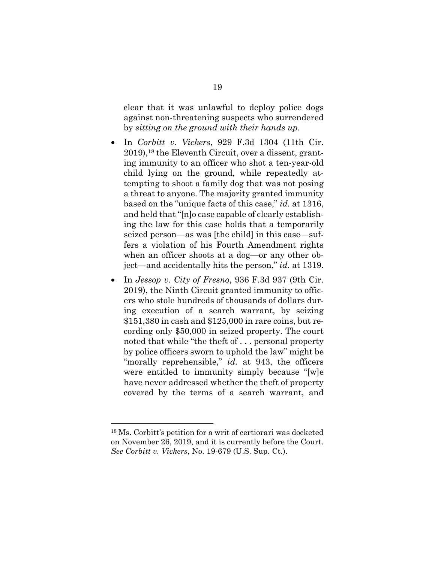clear that it was unlawful to deploy police dogs against non-threatening suspects who surrendered by *sitting on the ground with their hands up*.

- In *Corbitt v. Vickers*, 929 F.3d 1304 (11th Cir. 2019), <sup>18</sup> the Eleventh Circuit, over a dissent, granting immunity to an officer who shot a ten-year-old child lying on the ground, while repeatedly attempting to shoot a family dog that was not posing a threat to anyone. The majority granted immunity based on the "unique facts of this case," *id.* at 1316, and held that "[n]o case capable of clearly establishing the law for this case holds that a temporarily seized person—as was [the child] in this case—suffers a violation of his Fourth Amendment rights when an officer shoots at a dog—or any other object—and accidentally hits the person," *id.* at 1319.
- In *Jessop v. City of Fresno*, 936 F.3d 937 (9th Cir. 2019), the Ninth Circuit granted immunity to officers who stole hundreds of thousands of dollars during execution of a search warrant, by seizing \$151,380 in cash and \$125,000 in rare coins, but recording only \$50,000 in seized property. The court noted that while "the theft of . . . personal property by police officers sworn to uphold the law" might be "morally reprehensible," *id.* at 943, the officers were entitled to immunity simply because "[w]e have never addressed whether the theft of property covered by the terms of a search warrant, and

<sup>18</sup> Ms. Corbitt's petition for a writ of certiorari was docketed on November 26, 2019, and it is currently before the Court. *See Corbitt v. Vickers*, No. 19-679 (U.S. Sup. Ct.).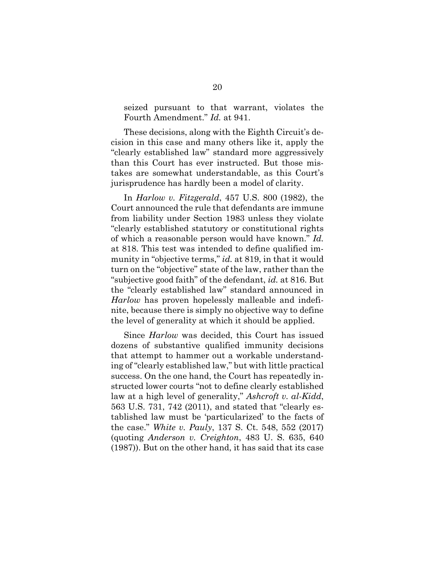seized pursuant to that warrant, violates the Fourth Amendment." *Id.* at 941.

These decisions, along with the Eighth Circuit's decision in this case and many others like it, apply the "clearly established law" standard more aggressively than this Court has ever instructed. But those mistakes are somewhat understandable, as this Court's jurisprudence has hardly been a model of clarity.

In *Harlow v. Fitzgerald*, 457 U.S. 800 (1982), the Court announced the rule that defendants are immune from liability under Section 1983 unless they violate "clearly established statutory or constitutional rights of which a reasonable person would have known." *Id.* at 818. This test was intended to define qualified immunity in "objective terms," *id.* at 819, in that it would turn on the "objective" state of the law, rather than the "subjective good faith" of the defendant, *id.* at 816. But the "clearly established law" standard announced in *Harlow* has proven hopelessly malleable and indefinite, because there is simply no objective way to define the level of generality at which it should be applied.

Since *Harlow* was decided, this Court has issued dozens of substantive qualified immunity decisions that attempt to hammer out a workable understanding of "clearly established law," but with little practical success. On the one hand, the Court has repeatedly instructed lower courts "not to define clearly established law at a high level of generality," *Ashcroft v. al-Kidd*, 563 U.S. 731, 742 (2011), and stated that "clearly established law must be 'particularized' to the facts of the case." *White v. Pauly*, 137 S. Ct. 548, 552 (2017) (quoting *Anderson v. Creighton*, 483 U. S. 635, 640 (1987)). But on the other hand, it has said that its case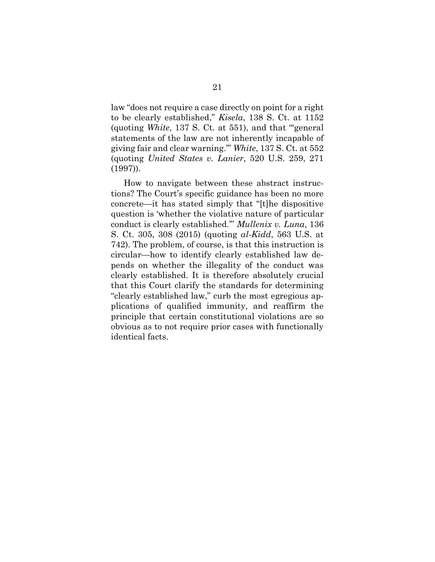law "does not require a case directly on point for a right to be clearly established," *Kisela*, 138 S. Ct. at 1152 (quoting *White*, 137 S. Ct. at 551), and that "'general statements of the law are not inherently incapable of giving fair and clear warning.'" *White*, 137 S. Ct. at 552 (quoting *United States v. Lanier*, 520 U.S. 259, 271 (1997)).

<span id="page-26-0"></span>How to navigate between these abstract instructions? The Court's specific guidance has been no more concrete—it has stated simply that "[t]he dispositive question is 'whether the violative nature of particular conduct is clearly established.'" *Mullenix v. Luna*, 136 S. Ct. 305, 308 (2015) (quoting *al-Kidd*, 563 U.S. at 742). The problem, of course, is that this instruction is circular—how to identify clearly established law depends on whether the illegality of the conduct was clearly established. It is therefore absolutely crucial that this Court clarify the standards for determining "clearly established law," curb the most egregious applications of qualified immunity, and reaffirm the principle that certain constitutional violations are so obvious as to not require prior cases with functionally identical facts.